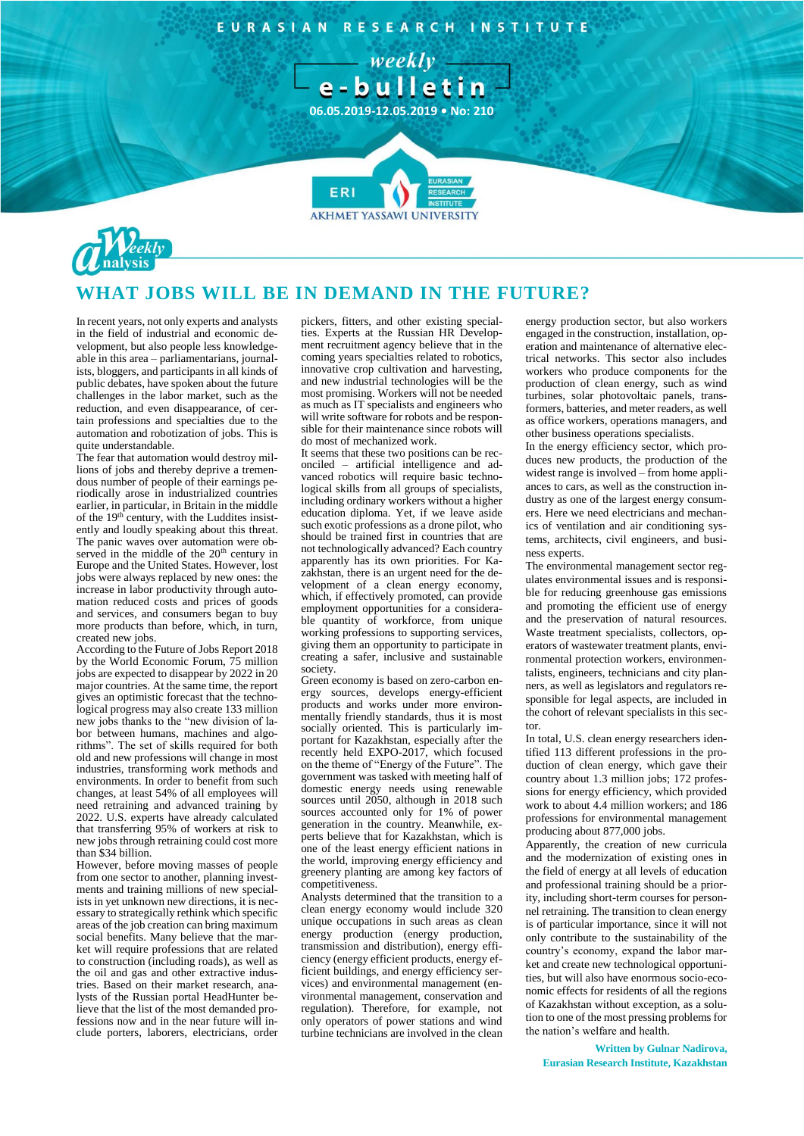EURASIAN RESEARCH INSTITUTE

 $-$  weekly  $-$ 



**AKHMET YASSAWI UNIVERSI** 



## **WHAT JOBS WILL BE IN DEMAND IN THE FUTURE?**

In recent years, not only experts and analysts in the field of industrial and economic development, but also people less knowledgeable in this area – parliamentarians, journalists, bloggers, and participants in all kinds of public debates, have spoken about the future challenges in the labor market, such as the reduction, and even disappearance, of certain professions and specialties due to the automation and robotization of jobs. This is quite understandable.

The fear that automation would destroy millions of jobs and thereby deprive a tremendous number of people of their earnings periodically arose in industrialized countries earlier, in particular, in Britain in the middle of the 19<sup>th</sup> century, with the Luddites insistently and loudly speaking about this threat. The panic waves over automation were observed in the middle of the 20<sup>th</sup> century in Europe and the United States. However, lost jobs were always replaced by new ones: the increase in labor productivity through automation reduced costs and prices of goods and services, and consumers began to buy more products than before, which, in turn, created new jobs.

According to the Future of Jobs Report 2018 by the World Economic Forum, 75 million jobs are expected to disappear by 2022 in 20 major countries. At the same time, the report gives an optimistic forecast that the technological progress may also create 133 million new jobs thanks to the "new division of labor between humans, machines and algorithms". The set of skills required for both old and new professions will change in most industries, transforming work methods and environments. In order to benefit from such changes, at least 54% of all employees will need retraining and advanced training by 2022. U.S. experts have already calculated that transferring 95% of workers at risk to new jobs through retraining could cost more than \$34 billion.

However, before moving masses of people from one sector to another, planning investments and training millions of new specialists in yet unknown new directions, it is necessary to strategically rethink which specific areas of the job creation can bring maximum social benefits. Many believe that the market will require professions that are related to construction (including roads), as well as the oil and gas and other extractive industries. Based on their market research, analysts of the Russian portal HeadHunter believe that the list of the most demanded professions now and in the near future will include porters, laborers, electricians, order

pickers, fitters, and other existing specialties. Experts at the Russian HR Development recruitment agency believe that in the coming years specialties related to robotics, innovative crop cultivation and harvesting, and new industrial technologies will be the most promising. Workers will not be needed as much as IT specialists and engineers who will write software for robots and be responsible for their maintenance since robots will do most of mechanized work.

It seems that these two positions can be reconciled – artificial intelligence and advanced robotics will require basic technological skills from all groups of specialists, including ordinary workers without a higher education diploma. Yet, if we leave aside such exotic professions as a drone pilot, who should be trained first in countries that are not technologically advanced? Each country apparently has its own priorities. For Kazakhstan, there is an urgent need for the development of a clean energy economy, which, if effectively promoted, can provide employment opportunities for a considerable quantity of workforce, from unique working professions to supporting services, giving them an opportunity to participate in creating a safer, inclusive and sustainable society.

Green economy is based on zero-carbon energy sources, develops energy-efficient products and works under more environmentally friendly standards, thus it is most socially oriented. This is particularly important for Kazakhstan, especially after the recently held EXPO-2017, which focused on the theme of "Energy of the Future". government was tasked with meeting half of domestic energy needs using renewable sources until 2050, although in 2018 such sources accounted only for 1% of power generation in the country. Meanwhile, experts believe that for Kazakhstan, which is one of the least energy efficient nations in the world, improving energy efficiency and greenery planting are among key factors of competitiveness.

Analysts determined that the transition to a clean energy economy would include 320 unique occupations in such areas as clean energy production (energy production, transmission and distribution), energy efficiency (energy efficient products, energy efficient buildings, and energy efficiency services) and environmental management (environmental management, conservation and regulation). Therefore, for example, not only operators of power stations and wind turbine technicians are involved in the clean energy production sector, but also workers engaged in the construction, installation, operation and maintenance of alternative electrical networks. This sector also includes workers who produce components for the production of clean energy, such as wind turbines, solar photovoltaic panels, transformers, batteries, and meter readers, as well as office workers, operations managers, and other business operations specialists.

In the energy efficiency sector, which produces new products, the production of the widest range is involved – from home appliances to cars, as well as the construction industry as one of the largest energy consumers. Here we need electricians and mechanics of ventilation and air conditioning systems, architects, civil engineers, and business experts.

The environmental management sector regulates environmental issues and is responsible for reducing greenhouse gas emissions and promoting the efficient use of energy and the preservation of natural resources. Waste treatment specialists, collectors, operators of wastewater treatment plants, environmental protection workers, environmentalists, engineers, technicians and city planners, as well as legislators and regulators responsible for legal aspects, are included in the cohort of relevant specialists in this sector.

In total, U.S. clean energy researchers identified 113 different professions in the production of clean energy, which gave their country about 1.3 million jobs; 172 professions for energy efficiency, which provided work to about 4.4 million workers; and 186 professions for environmental management producing about 877,000 jobs.

Apparently, the creation of new curricula and the modernization of existing ones in the field of energy at all levels of education and professional training should be a priority, including short-term courses for personnel retraining. The transition to clean energy is of particular importance, since it will not only contribute to the sustainability of the country's economy, expand the labor market and create new technological opportunities, but will also have enormous socio-economic effects for residents of all the regions of Kazakhstan without exception, as a solution to one of the most pressing problems for the nation's welfare and health.

**Written by Gulnar Nadirova, Eurasian Research Institute, Kazakhstan**